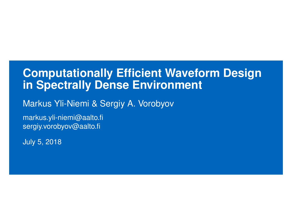#### **Computationally Efficient Waveform Design in Spectrally Dense Environment**

Markus Yli-Niemi & Sergiy A. Vorobyov

markus.yli-niemi@aalto.fi sergiy.vorobyov@aalto.fi

July 5, 2018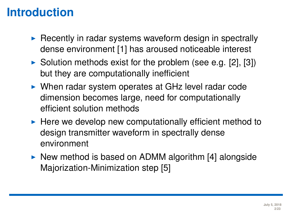# **Introduction**

- $\blacktriangleright$  Recently in radar systems waveform design in spectrally dense environment [\[1\]](#page-22-0) has aroused noticeable interest
- $\triangleright$  Solution methods exist for the problem (see e.g. [\[2\]](#page-22-1), [\[3\]](#page-22-2)) but they are computationally inefficient
- $\triangleright$  When radar system operates at GHz level radar code dimension becomes large, need for computationally efficient solution methods
- $\blacktriangleright$  Here we develop new computationally efficient method to design transmitter waveform in spectrally dense environment
- $\triangleright$  New method is based on ADMM algorithm [\[4\]](#page-22-3) alongside Majorization-Minimization step [\[5\]](#page-22-4)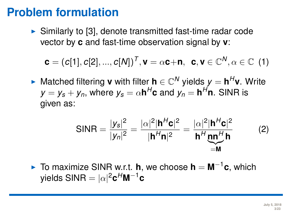$\triangleright$  Similarly to [\[3\]](#page-22-2), denote transmitted fast-time radar code vector by **c** and fast-time observation signal by **v**:

$$
\boldsymbol{c}=(c[1],c[2],...,c[N])^T, \boldsymbol{v}=\alpha \boldsymbol{c}+\boldsymbol{n}, \ \ \boldsymbol{c},\boldsymbol{v}\in \mathbb{C}^N, \alpha\in \mathbb{C} \ \ (1)
$$

► Matched filtering **v** with filter **h**  $\in \mathbb{C}^N$  yields  $y = h^H$ **v**. Write  $y = y_s + y_n$ , where  $y_s = \alpha \mathbf{h}^H \mathbf{c}$  and  $y_n = \mathbf{h}^H \mathbf{n}$ . SINR is given as:

$$
\text{SINR} = \frac{|y_s|^2}{|y_n|^2} = \frac{|\alpha|^2 |\mathbf{h}^H \mathbf{c}|^2}{|\mathbf{h}^H \mathbf{n}|^2} = \frac{|\alpha|^2 |\mathbf{h}^H \mathbf{c}|^2}{\mathbf{h}^H \mathbf{m}^H \mathbf{h}}
$$
(2)

► To maximize SINR w.r.t. **h**, we choose **h** =  $M^{-1}c$ , which yields SINR  $=|\alpha|^2$ **c** $^H$ **M** $^{-1}$ **c**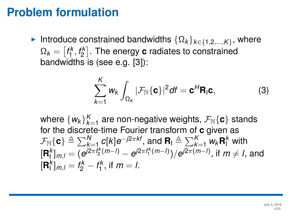**Introduce constrained bandwidths**  $\{\Omega_k\}_{k\in\{1,2,\ldots,K\}}$ , where  $\Omega_k = \left[ f_1^k, f_2^k \right].$  The energy  ${\bf c}$  radiates to constrained bandwidths is (see e.g. [\[3\]](#page-22-2)):

$$
\sum_{k=1}^{K} w_k \int_{\Omega_k} |\mathcal{F}_{\mathbb{N}}\{\mathbf{c}\}|^2 df = \mathbf{c}^H \mathbf{R}_1 \mathbf{c},
$$
 (3)

where  $\{w_k\}_{k=1}^K$  are non-negative weights,  $\mathcal{F}_{\mathbb{N}}\{\mathbf{c}\}$  stands for the discrete-time Fourier transform of **c** given as  $\mathcal{F}_{\mathbb{N}}\{\mathbf{c}\} \triangleq \sum_{k=1}^{N}c[k]e^{-j2\pi k t}$ , and  $\mathbf{R}_{\mathsf{I}} \triangleq \sum_{k=1}^{K}w_{k}\mathbf{R}_{\mathsf{I}}^{k}$  with  $[\mathbf{R}_1^k]_{m,l} = (e^{j2\pi t_2^k(m-l)} - e^{j2\pi t_1^k(m-l)})/e^{j2\pi(m-l)}$ , if  $m \neq l$ , and  $[\mathbf{R}_1^k]_{m,l} = f_2^k - f_1^k$ , if  $m = l$ .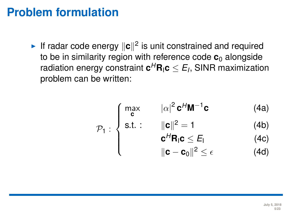If radar code energy  $\|\mathbf{c}\|^2$  is unit constrained and required to be in similarity region with reference code **c**<sub>0</sub> alongside radiation energy constraint  $\mathbf{c}^H \mathbf{R}_\textsf{I} \mathbf{c} \leq E_I$ , SINR maximization problem can be written:

$$
\mathcal{P}_1: \begin{cases} \max_{\mathbf{c}} & |\alpha|^2 \mathbf{c}^H \mathbf{M}^{-1} \mathbf{c} \qquad (4a) \\ \text{s.t.}: & \|\mathbf{c}\|^2 = 1 \qquad (4b) \\ & \mathbf{c}^H \mathbf{R}_1 \mathbf{c} \leq E_1 \qquad (4c) \\ & \|\mathbf{c} - \mathbf{c}_0\|^2 \leq \epsilon \qquad (4d) \end{cases}
$$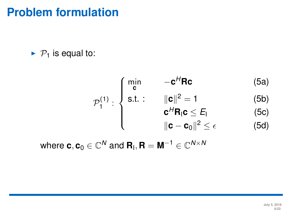$\blacktriangleright$   $\mathcal{P}_1$  is equal to:

$$
\mathcal{P}_1^{(1)}: \begin{cases} \min \limits_{\mathbf{c}} & -\mathbf{c}^H \mathbf{R} \mathbf{c} \qquad (5a) \\ \text{s.t.}: & \|\mathbf{c}\|^2 = 1 \qquad (5b) \\ & \mathbf{c}^H \mathbf{R}_1 \mathbf{c} \le E_1 \qquad (5c) \\ & \|\mathbf{c} - \mathbf{c}_0\|^2 \le \epsilon \qquad (5d) \end{cases}
$$

where  $\mathbf{c}, \mathbf{c}_0 \in \mathbb{C}^N$  and  $\mathbf{R}_\mathsf{I}, \mathbf{R} = \mathbf{M}^{-1} \in \mathbb{C}^{N \times N}$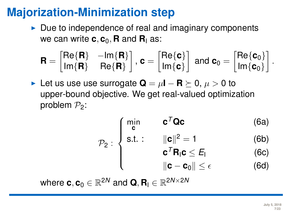### **Majorization-Minimization step**

 $\triangleright$  Due to independence of real and imaginary components we can write  $c$ ,  $c_0$ , **R** and **R**<sub>I</sub> as:

$$
\textbf{R} = \begin{bmatrix} \text{Re}\{\textbf{R}\} & -\text{Im}\{\textbf{R}\} \\ \text{Im}\{\textbf{R}\} & \text{Re}\{\textbf{R}\} \end{bmatrix}, \, \textbf{c} = \begin{bmatrix} \text{Re}\{\textbf{c}\} \\ \text{Im}\{\textbf{c}\} \end{bmatrix} \text{ and } \textbf{c}_0 = \begin{bmatrix} \text{Re}\{\textbf{c}_0\} \\ \text{Im}\{\textbf{c}_0\} \end{bmatrix}.
$$

 $\blacktriangleright$  Let us use use surrogate  $\mathbf{Q} = \mu \mathbf{I} - \mathbf{R} \succeq 0$ ,  $\mu > 0$  to upper-bound objective. We get real-valued optimization problem  $P_2$ :

$$
\mathcal{P}_2: \begin{cases} \min_{\mathbf{c}} & \mathbf{c}^T \mathbf{Q} \mathbf{c} \qquad (6a) \\ \text{s.t.}: & \|\mathbf{c}\|^2 = 1 \qquad (6b) \\ & \mathbf{c}^T \mathbf{R}_1 \mathbf{c} \le E_1 \qquad (6c) \\ & \|\mathbf{c} - \mathbf{c}_0\| \le \epsilon \qquad (6d) \end{cases}
$$

where  $\mathbf{c}, \mathbf{c}_0 \in \mathbb{R}^{2N}$  and  $\mathbf{Q}, \mathbf{R}_{\mathsf{I}} \in \mathbb{R}^{2N \times 2N}$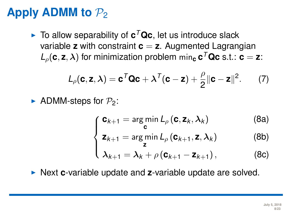# **Apply ADMM to**  $P_2$

 $\blacktriangleright$  To allow separability of  $c^T$ Qc, let us introduce slack variable **z** with constraint **c** = **z**. Augmented Lagrangian  $L_{\rho}(\mathbf{c}, \mathbf{z}, \lambda)$  for minimization problem min<sub>c</sub>  $\mathbf{c}^{\mathsf{T}}\mathbf{Qc}$  s.t.:  $\mathbf{c} = \mathbf{z}$ :

$$
L_{\rho}(\mathbf{c}, \mathbf{z}, \lambda) = \mathbf{c}^T \mathbf{Q} \mathbf{c} + \lambda^T (\mathbf{c} - \mathbf{z}) + \frac{\rho}{2} ||\mathbf{c} - \mathbf{z}||^2. \qquad (7)
$$

ADMM-steps for  $P_2$ :

$$
\int_{\mathbf{z}_{k+1}} \frac{\mathbf{c}_{k+1} = \arg\min_{\mathbf{c}} L_{\rho}(\mathbf{c}, \mathbf{z}_k, \lambda_k)}{\mathbf{c}} \tag{8a}
$$

$$
\mathbf{z}_{k+1} = \underset{\mathbf{z}}{\arg\min} L_{\rho}(\mathbf{c}_{k+1}, \mathbf{z}, \lambda_k)
$$
 (8b)

$$
\left(\lambda_{k+1} = \lambda_k + \rho \left(\mathbf{c}_{k+1} - \mathbf{z}_{k+1}\right)\right),\tag{8c}
$$

**Next c-variable update and z-variable update are solved.**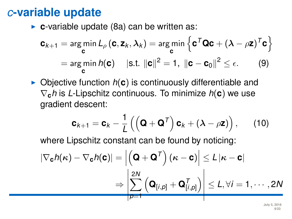► **c**-variable update (8a) can be written as:

$$
\mathbf{c}_{k+1} = \underset{\mathbf{c}}{\arg\min} L_{\rho}(\mathbf{c}, \mathbf{z}_k, \lambda_k) = \underset{\mathbf{c}}{\arg\min} \left\{ \mathbf{c}^T \mathbf{Q} \mathbf{c} + (\lambda - \rho \mathbf{z})^T \mathbf{c} \right\}
$$

$$
= \underset{\mathbf{c}}{\arg\min} h(\mathbf{c}) \quad |\text{s.t. } ||\mathbf{c}||^2 = 1, \ ||\mathbf{c} - \mathbf{c}_0||^2 \le \epsilon. \tag{9}
$$

 $\triangleright$  Objective function  $h(c)$  is continuously differentiable and ∇**c***h* is *L*-Lipschitz continuous. To minimize *h*(**c**) we use gradient descent:

$$
\mathbf{c}_{k+1} = \mathbf{c}_k - \frac{1}{L} \left( \left( \mathbf{Q} + \mathbf{Q}^T \right) \mathbf{c}_k + \left( \lambda - \rho \mathbf{z} \right) \right), \qquad (10)
$$

where Lipschitz constant can be found by noticing:

$$
\left| \nabla_{\mathbf{c}} h(\boldsymbol{\kappa}) - \nabla_{\mathbf{c}} h(\mathbf{c}) \right| = \left| \left( \mathbf{Q} + \mathbf{Q}^T \right) (\boldsymbol{\kappa} - \mathbf{c}) \right| \le L |\boldsymbol{\kappa} - \mathbf{c}|
$$
  

$$
\Rightarrow \left| \sum_{p=1}^{2N} \left( \mathbf{Q}_{[i,p]} + \mathbf{Q}_{[i,p]}^T \right) \right| \le L, \forall i = 1, \cdots, 2N
$$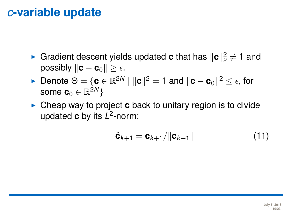- **Gradient descent yields updated <b>c** that has  $\|\mathbf{c}\|_2^2 \neq 1$  and **possibly**  $\|\mathbf{c} - \mathbf{c}_0\| > \epsilon$ .
- ► Denote  $\Theta = \{ \mathbf{c} \in \mathbb{R}^{2N} \mid ||\mathbf{c}||^2 = 1 \text{ and } ||\mathbf{c} \mathbf{c}_0||^2 \leq \epsilon$ , for some  $\mathbf{c}_0 \in \mathbb{R}^{2N} \}$
- **Cheap way to project <b>c** back to unitary region is to divide updated **c** by its *L* 2 -norm:

$$
\hat{\mathbf{c}}_{k+1} = \mathbf{c}_{k+1} / \|\mathbf{c}_{k+1}\|
$$
 (11)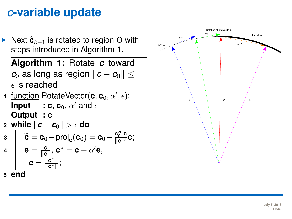

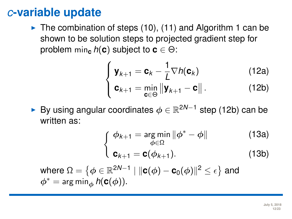$\blacktriangleright$  The combination of steps (10), (11) and Algorithm 1 can be shown to be solution steps to projected gradient step for problem min<sub>c</sub>  $h(c)$  subject to  $c \in \Theta$ :

$$
\left\{ \mathbf{y}_{k+1} = \mathbf{c}_k - \frac{1}{L} \nabla h(\mathbf{c}_k) \right\}
$$
 (12a)

$$
\left\| \mathbf{c}_{k+1} = \min_{\mathbf{c} \in \Theta} \left\| \mathbf{y}_{k+1} - \mathbf{c} \right\|.
$$
 (12b)

**► By using angular coordinates**  $\phi \in \mathbb{R}^{2N-1}$  **step (12b) can be** written as:

$$
\int_{0}^{\infty} \phi_{k+1} = \underset{\phi \in \Omega}{\arg \min} \|\phi^* - \phi\| \tag{13a}
$$

$$
\mathbf{c}_{k+1} = \mathbf{c}(\phi_{k+1}). \tag{13b}
$$

where  $\Omega = \left\{ \phi \in \mathbb{R}^{2N-1} \mid \| \textbf{c}(\phi) - \textbf{c}_0(\phi) \|^2 \leq \epsilon \right\}$  and  $\phi^* = \arg \min_{\phi} h(c(\phi)).$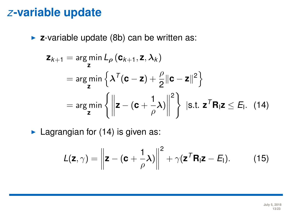**z**-variable update (8b) can be written as:

$$
\mathbf{z}_{k+1} = \arg\min_{\mathbf{z}} L_{\rho} (\mathbf{c}_{k+1}, \mathbf{z}, \lambda_k)
$$
  
= 
$$
\arg\min_{\mathbf{z}} \left\{ \lambda^{T} (\mathbf{c} - \mathbf{z}) + \frac{\rho}{2} ||\mathbf{c} - \mathbf{z}||^{2} \right\}
$$
  
= 
$$
\arg\min_{\mathbf{z}} \left\{ \left\| \mathbf{z} - (\mathbf{c} + \frac{1}{\rho} \lambda) \right\|^{2} \right\} \text{ [s.t. } \mathbf{z}^{T} \mathbf{R}_{1} \mathbf{z} \leq E_{1}. \quad (14)
$$

 $\blacktriangleright$  Lagrangian for (14) is given as:

$$
L(\mathbf{z}, \gamma) = \left\| \mathbf{z} - (\mathbf{c} + \frac{1}{\rho} \lambda) \right\|^2 + \gamma (\mathbf{z}^T \mathbf{R}_1 \mathbf{z} - E_1).
$$
 (15)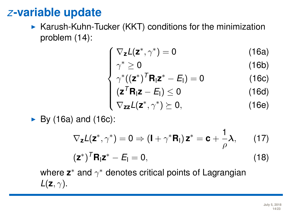$\triangleright$  Karush-Kuhn-Tucker (KKT) conditions for the minimization problem (14):

$$
\int \nabla_{z} L(z^*, \gamma^*) = 0 \tag{16a}
$$

$$
\gamma^* \geq 0 \tag{16b}
$$

$$
\begin{cases}\n\gamma^* \geq 0 & (16b) \\
\gamma^* ((z^*)^T R_1 z^* - E_1) = 0 & (16c)\n\end{cases}
$$

$$
\begin{cases}\n(\mathbf{z}^T \mathbf{R}_1 \mathbf{z} - \mathbf{E}_1) \le 0 & (16d) \\
\nabla_{\mathbf{z} \mathbf{z}} L(\mathbf{z}^*, \gamma^*) \succeq 0, & (16e)\n\end{cases}
$$

$$
\nabla_{\bm{z}\bm{z}}L(\bm{z}^*,\gamma^*)\succeq 0, \qquad \qquad (16e)
$$

1

 $\triangleright$  By (16a) and (16c):

$$
\nabla_{\mathbf{z}} L(\mathbf{z}^*, \gamma^*) = 0 \Rightarrow (\mathbf{I} + \gamma^* \mathbf{R}_{\mathbf{I}}) \mathbf{z}^* = \mathbf{c} + \frac{1}{\rho} \lambda, \qquad (17)
$$

$$
(\mathbf{z}^*)^T \mathbf{R}_{\mathbf{I}} \mathbf{z}^* - E_{\mathbf{I}} = 0, \qquad (18)
$$

where  $\mathsf{z}^*$  and  $\gamma^*$  denotes critical points of Lagrangian  $L(\mathbf{z}, \gamma)$ .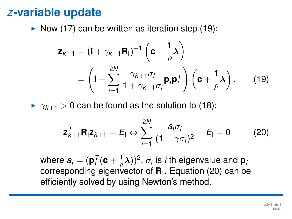$\triangleright$  Now (17) can be written as iteration step (19):

$$
\mathbf{z}_{k+1} = (\mathbf{I} + \gamma_{k+1} \mathbf{R}_{\mathsf{I}})^{-1} \left( \mathbf{c} + \frac{1}{\rho} \boldsymbol{\lambda} \right)
$$
  
= 
$$
\left( \mathbf{I} + \sum_{i=1}^{2N} \frac{\gamma_{k+1} \sigma_i}{1 + \gamma_{k+1} \sigma_i} \mathbf{p}_i \mathbf{p}_i^T \right) \left( \mathbf{c} + \frac{1}{\rho} \boldsymbol{\lambda} \right).
$$
 (19)

 $\triangleright$   $\gamma_{k+1} > 0$  can be found as the solution to (18):

$$
\mathbf{z}_{k+1}^T \mathbf{R}_1 \mathbf{z}_{k+1} = E_1 \Leftrightarrow \sum_{i=1}^{2N} \frac{a_i \sigma_i}{(1 + \gamma \sigma_i)^2} - E_1 = 0 \tag{20}
$$

where  $\pmb{a}_i = (\mathbf{p}_i^{\mathcal{T}}(\mathbf{c} + \frac{1}{\rho}\pmb{\lambda}))^2, \, \sigma_i$  is *i*'th eigenvalue and  $\mathbf{p}_i$ corresponding eigenvector of **R**<sup>I</sup> . Equation (20) can be efficiently solved by using Newton's method.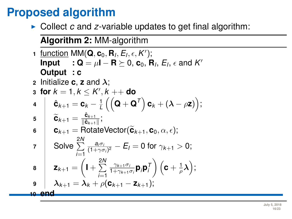## **Proposed algorithm**

► Collect *c* and *z*-variable updates to get final algorithm:

#### **Algorithm 2:** MM-algorithm

**1** <u>function</u> MM( $\mathbf{Q}, \mathbf{c}_0, \mathbf{R}_I, E_I, \epsilon, K'$ ); **Input** : Q =  $\mu$ **I** – **R**  $\succeq$  0, **c**<sub>0</sub>, **R**<sub>*I*</sub>, *E*<sub>*i*</sub>, *e* and *K*<sup>*I*</sup> **Output : c 2** Initialize **c**, **z** and  $\lambda$ : **3 for**  $k = 1, k \leq K', k ++$  **do**  $\mathbf{c}_k + \mathbf{c}_k = \mathbf{c}_k - \frac{1}{L}\left(\left(\mathbf{Q} + \mathbf{Q}^{\mathsf{T}}\right)\mathbf{c}_k + \left(\boldsymbol{\lambda} - \rho \mathbf{z}\right)\right);$ **5**  $\widetilde{\mathbf{C}}_{k+1} = \frac{\hat{\mathbf{c}}_{k+1}}{\|\hat{\mathbf{c}}_{k+1}\|}$  $\frac{\mathbf{c}_{k+1}}{\|\hat{\mathbf{c}}_{k+1}\|}$ ; **6**  $\mathbf{c}_{k+1} = \text{RotateVector}(\widetilde{\mathbf{c}}_{k+1}, \mathbf{c}_0, \alpha, \epsilon);$  $\frac{2N}{2}$  Solve  $\sum^{2N}$ *i*=1  $\frac{a_i\sigma_i}{(1+\gamma\sigma_i)^2}$  –  $E_I = 0$  for  $\gamma_{k+1} > 0$ ; **8**  $\mathsf{z}_{k+1} = \left( \mathsf{I} + \sum_{k=1}^{2N} \right)$ *i*=1 γ*k*+1σ*<sup>i</sup>*  $\frac{\gamma_{k+1}\sigma_i}{1+\gamma_{k+1}\sigma_i}\mathbf{p}_i\mathbf{p}_i^{\mathsf{T}}\bigg)\left(\mathbf{c}+\frac{1}{\rho}\boldsymbol{\lambda}\right);$  $\mathbf{P}$  and  $\boldsymbol{\lambda}_{k+1} = \boldsymbol{\lambda}_k + \rho(\mathbf{C}_{k+1} - \mathbf{Z}_{k+1});$ **<sup>10</sup> end**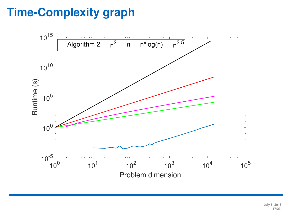# **Time-Complexity graph**



**July 5, 2018 17/23**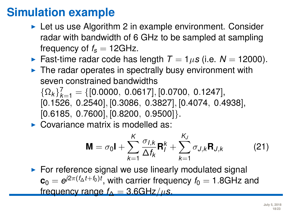### **Simulation example**

- $\blacktriangleright$  Let us use Algorithm 2 in example environment. Consider radar with bandwidth of 6 GHz to be sampled at sampling frequency of  $f_s = 12 \text{GHz}$ .
- **Fast-time radar code has length**  $T = 1 \mu s$  **(i.e.**  $N = 12000$ **).**
- $\blacktriangleright$  The radar operates in spectrally busy environment with seven constrained bandwidths  $\{\Omega_k\}_{k=1}^7 = \{[0.0000, 0.0617], [0.0700, 0.1247],$ 
	- [0.1526, 0.2540], [0.3086, 0.3827], [0.4074, 0.4938],  $[0.6185, 0.7600], [0.8200, 0.9500].$
- $\triangleright$  Covariance matrix is modelled as:

$$
\mathbf{M} = \sigma_0 \mathbf{I} + \sum_{k=1}^{K} \frac{\sigma_{I,k}}{\Delta f_k} \mathbf{R}_I^k + \sum_{k=1}^{K_J} \sigma_{J,k} \mathbf{R}_{J,k}
$$
(21)

 $\triangleright$  For reference signal we use linearly modulated signal  $\mathbf{c}_0 = e^{j2\pi(f_\Delta t + f_0)t},$  with carrier frequency  $f_0 = 1.8 \text{GHz}$  and frequency range  $f_{\Delta} = 3.6$ GHz/*µs*.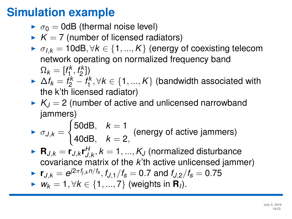## **Simulation example**

- $\bullet$   $\sigma_0 = 0$ dB (thermal noise level)
- $K = 7$  (number of licensed radiators)
- $\triangleright$   $\sigma_{I,k}$  = 10dB,  $\forall k$  ∈ {1, ..., K} (energy of coexisting telecom network operating on normalized frequency band  $\Omega_k = [f_1^k, f_2^k]$
- $\blacktriangleright$  ∆ $f_k = f_2^k f_1^k, \forall k \in \{1, ..., K\}$  (bandwidth associated with the k'th licensed radiator)
- $K_I = 2$  (number of active and unlicensed narrowband jammers)

$$
\triangleright \sigma_{J,k} = \begin{cases} 50 \text{dB}, & k = 1 \\ 40 \text{dB}, & k = 2, \end{cases}
$$
 (energy of active jammers)

 $\blacktriangleright$   $\mathbf{R}_{J,k} = \mathbf{r}_{J,k} \mathbf{r}_{J,k}^H, k=1,...,K_J$  (normalized disturbance covariance matrix of the *k*'th active unlicensed jammer)

• 
$$
\mathbf{r}_{J,k} = e^{j2\pi f_{j,k}n/f_s}
$$
,  $f_{J,1}/f_s = 0.7$  and  $f_{J,2}/f_s = 0.75$ 

**►**  $W_k = 1, \forall k \in \{1, ..., 7\}$  (weights in **R**<sub>*I*</sub>).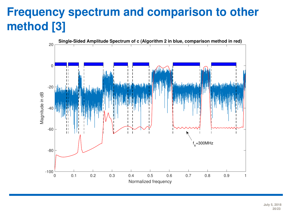# **Frequency spectrum and comparison to other method [\[3\]](#page-22-2)**



**July 5, 2018 20/23**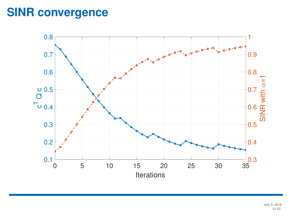### **SINR convergence**

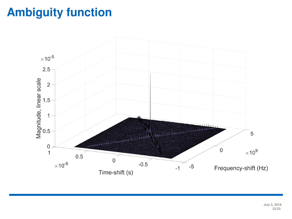# **Ambiguity function**